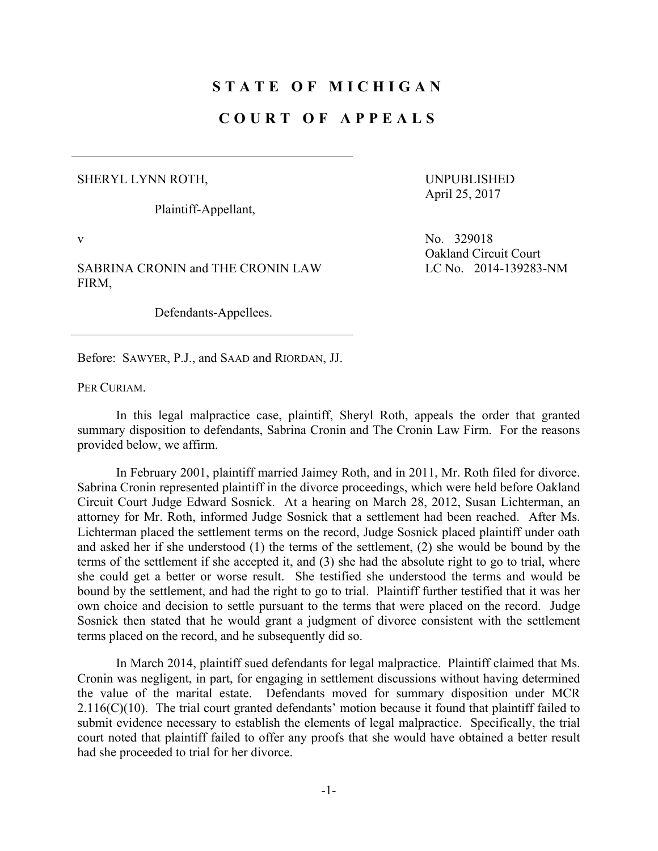## **STATE OF MICHIGAN**

## **COURT OF APPEALS**

## SHERYL LYNN ROTH,

Plaintiff-Appellant,

UNPUBLISHED April 25, 2017

Oakland Circuit Court

LC No. 2014-139283-NM

v No. 329018

SABRINA CRONIN and THE CRONIN LAW FIRM,

Defendants-Appellees.

Before: SAWYER, P.J., and SAAD and RIORDAN, JJ.

PER CURIAM.

 In this legal malpractice case, plaintiff, Sheryl Roth, appeals the order that granted summary disposition to defendants, Sabrina Cronin and The Cronin Law Firm. For the reasons provided below, we affirm.

 In February 2001, plaintiff married Jaimey Roth, and in 2011, Mr. Roth filed for divorce. Sabrina Cronin represented plaintiff in the divorce proceedings, which were held before Oakland Circuit Court Judge Edward Sosnick. At a hearing on March 28, 2012, Susan Lichterman, an attorney for Mr. Roth, informed Judge Sosnick that a settlement had been reached. After Ms. Lichterman placed the settlement terms on the record, Judge Sosnick placed plaintiff under oath and asked her if she understood (1) the terms of the settlement, (2) she would be bound by the terms of the settlement if she accepted it, and (3) she had the absolute right to go to trial, where she could get a better or worse result. She testified she understood the terms and would be bound by the settlement, and had the right to go to trial. Plaintiff further testified that it was her own choice and decision to settle pursuant to the terms that were placed on the record. Judge Sosnick then stated that he would grant a judgment of divorce consistent with the settlement terms placed on the record, and he subsequently did so.

 In March 2014, plaintiff sued defendants for legal malpractice. Plaintiff claimed that Ms. Cronin was negligent, in part, for engaging in settlement discussions without having determined the value of the marital estate. Defendants moved for summary disposition under MCR  $2.116(C)(10)$ . The trial court granted defendants' motion because it found that plaintiff failed to submit evidence necessary to establish the elements of legal malpractice. Specifically, the trial court noted that plaintiff failed to offer any proofs that she would have obtained a better result had she proceeded to trial for her divorce.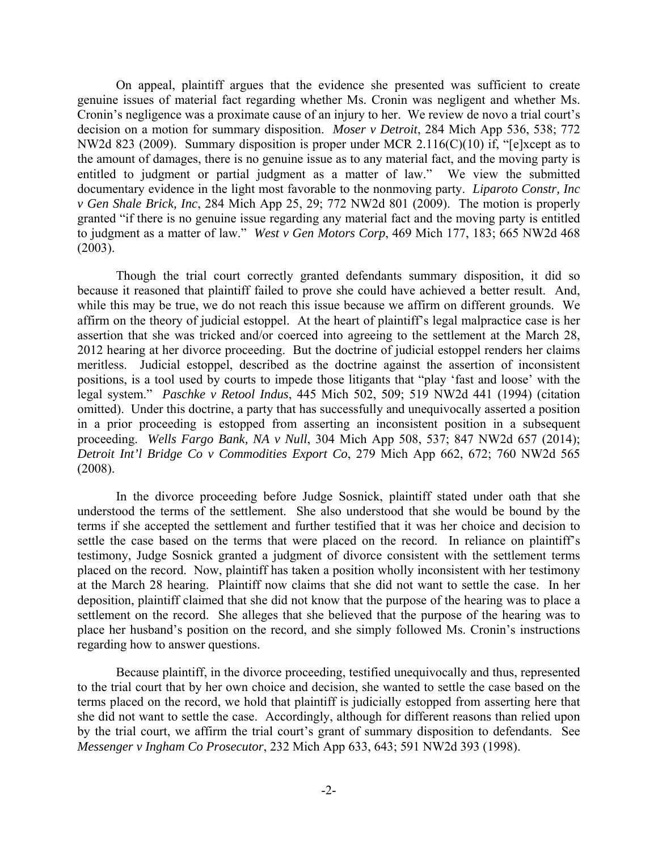On appeal, plaintiff argues that the evidence she presented was sufficient to create genuine issues of material fact regarding whether Ms. Cronin was negligent and whether Ms. Cronin's negligence was a proximate cause of an injury to her. We review de novo a trial court's decision on a motion for summary disposition. *Moser v Detroit*, 284 Mich App 536, 538; 772 NW2d 823 (2009). Summary disposition is proper under MCR 2.116(C)(10) if, "[e]xcept as to the amount of damages, there is no genuine issue as to any material fact, and the moving party is entitled to judgment or partial judgment as a matter of law." We view the submitted documentary evidence in the light most favorable to the nonmoving party. *Liparoto Constr, Inc v Gen Shale Brick, Inc*, 284 Mich App 25, 29; 772 NW2d 801 (2009). The motion is properly granted "if there is no genuine issue regarding any material fact and the moving party is entitled to judgment as a matter of law." *West v Gen Motors Corp*, 469 Mich 177, 183; 665 NW2d 468 (2003).

 Though the trial court correctly granted defendants summary disposition, it did so because it reasoned that plaintiff failed to prove she could have achieved a better result. And, while this may be true, we do not reach this issue because we affirm on different grounds. We affirm on the theory of judicial estoppel. At the heart of plaintiff's legal malpractice case is her assertion that she was tricked and/or coerced into agreeing to the settlement at the March 28, 2012 hearing at her divorce proceeding. But the doctrine of judicial estoppel renders her claims meritless. Judicial estoppel, described as the doctrine against the assertion of inconsistent positions, is a tool used by courts to impede those litigants that "play 'fast and loose' with the legal system." *Paschke v Retool Indus*, 445 Mich 502, 509; 519 NW2d 441 (1994) (citation omitted). Under this doctrine, a party that has successfully and unequivocally asserted a position in a prior proceeding is estopped from asserting an inconsistent position in a subsequent proceeding. *Wells Fargo Bank, NA v Null*, 304 Mich App 508, 537; 847 NW2d 657 (2014); *Detroit Int'l Bridge Co v Commodities Export Co*, 279 Mich App 662, 672; 760 NW2d 565 (2008).

 In the divorce proceeding before Judge Sosnick, plaintiff stated under oath that she understood the terms of the settlement. She also understood that she would be bound by the terms if she accepted the settlement and further testified that it was her choice and decision to settle the case based on the terms that were placed on the record. In reliance on plaintiff's testimony, Judge Sosnick granted a judgment of divorce consistent with the settlement terms placed on the record. Now, plaintiff has taken a position wholly inconsistent with her testimony at the March 28 hearing. Plaintiff now claims that she did not want to settle the case. In her deposition, plaintiff claimed that she did not know that the purpose of the hearing was to place a settlement on the record. She alleges that she believed that the purpose of the hearing was to place her husband's position on the record, and she simply followed Ms. Cronin's instructions regarding how to answer questions.

 Because plaintiff, in the divorce proceeding, testified unequivocally and thus, represented to the trial court that by her own choice and decision, she wanted to settle the case based on the terms placed on the record, we hold that plaintiff is judicially estopped from asserting here that she did not want to settle the case. Accordingly, although for different reasons than relied upon by the trial court, we affirm the trial court's grant of summary disposition to defendants. See *Messenger v Ingham Co Prosecutor*, 232 Mich App 633, 643; 591 NW2d 393 (1998).